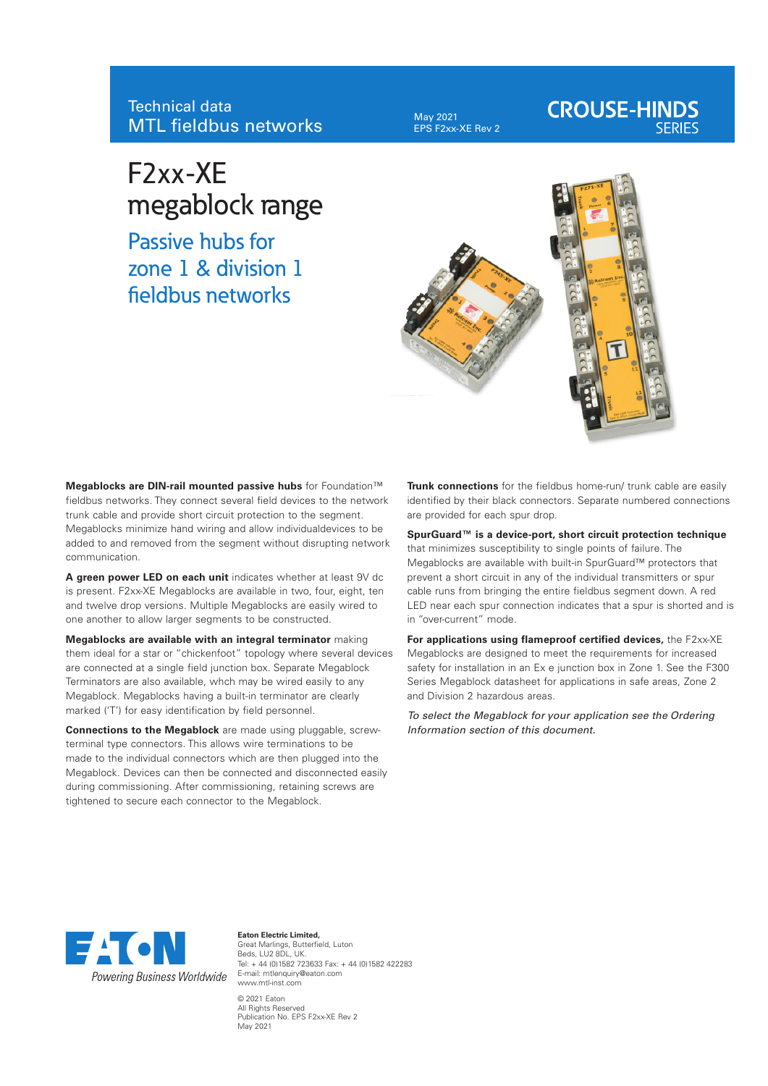# Technical data MTL fieldbus networks

May 2021 EPS F2xx-XE Rev 2

# **CROUSE-HINDS**

# F2xx-XE megablock range

Passive hubs for zone 1 & division 1 fieldbus networks



**Megablocks are DIN-rail mounted passive hubs** for Foundation™ fieldbus networks. They connect several field devices to the network trunk cable and provide short circuit protection to the segment. Megablocks minimize hand wiring and allow individualdevices to be added to and removed from the segment without disrupting network communication.

**A green power LED on each unit** indicates whether at least 9V dc is present. F2xx-XE Megablocks are available in two, four, eight, ten and twelve drop versions. Multiple Megablocks are easily wired to one another to allow larger segments to be constructed.

**Megablocks are available with an integral terminator** making them ideal for a star or "chickenfoot" topology where several devices are connected at a single field junction box. Separate Megablock Terminators are also available, whch may be wired easily to any Megablock. Megablocks having a built-in terminator are clearly marked ('T') for easy identification by field personnel.

**Connections to the Megablock** are made using pluggable, screwterminal type connectors. This allows wire terminations to be made to the individual connectors which are then plugged into the Megablock. Devices can then be connected and disconnected easily during commissioning. After commissioning, retaining screws are tightened to secure each connector to the Megablock.

**Trunk connections** for the fieldbus home-run/ trunk cable are easily identified by their black connectors. Separate numbered connections are provided for each spur drop.

**SpurGuard™ is a device-port, short circuit protection technique** that minimizes susceptibility to single points of failure. The Megablocks are available with built-in SpurGuard™ protectors that prevent a short circuit in any of the individual transmitters or spur cable runs from bringing the entire fieldbus segment down. A red LED near each spur connection indicates that a spur is shorted and is in "over-current" mode.

**For applications using flameproof certified devices,** the F2xx-XE Megablocks are designed to meet the requirements for increased safety for installation in an Ex e junction box in Zone 1. See the F300 Series Megablock datasheet for applications in safe areas, Zone 2 and Division 2 hazardous areas.

*To select the Megablock for your application see the Ordering Information section of this document.*



**Eaton Electric Limited,** Great Marlings, Butterfield, Luton Beds, LU2 8DL, UK. Tel: + 44 (0)1582 723633 Fax: + 44 (0)1582 422283 E-mail: mtlenquiry@eaton.com www.mtl-inst.com © 2021 Eaton All Rights Reserved Publication No. EPS F2xx-XE Rev 2 May 2021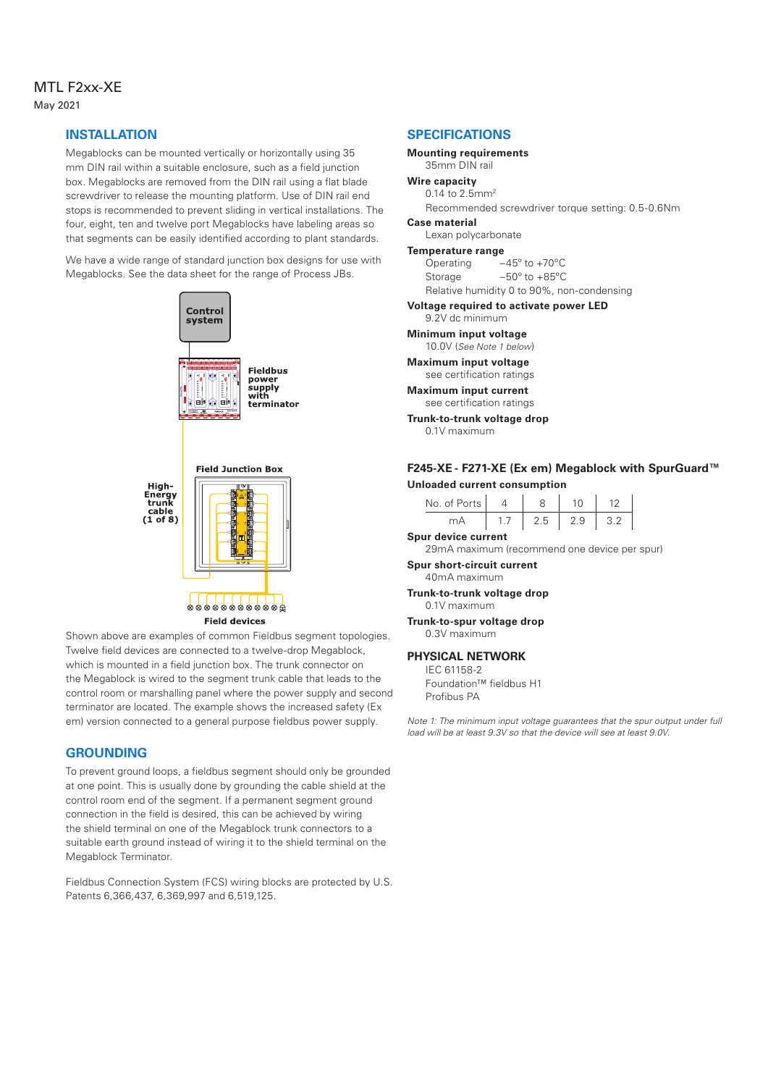#### MTL F2xx-XE May 2021

#### **INSTALLATION**

Megablocks can be mounted vertically or horizontally using 35 mm DIN rail within a suitable enclosure, such as a field junction box. Megablocks are removed from the DIN rail using a flat blade screwdriver to release the mounting platform. Use of DIN rail end stops is recommended to prevent sliding in vertical installations. The four, eight, ten and twelve port Megablocks have labeling areas so that segments can be easily identified according to plant standards.

We have a wide range of standard junction box designs for use with Megablocks. See the data sheet for the range of Process JBs.



Shown above are examples of common Fieldbus segment topologies. Twelve field devices are connected to a twelve-drop Megablock, which is mounted in a field junction box. The trunk connector on the Megablock is wired to the segment trunk cable that leads to the control room or marshalling panel where the power supply and second terminator are located. The example shows the increased safety (Ex em) version connected to a general purpose fieldbus power supply.

#### **GROUNDING**

To prevent ground loops, a fieldbus segment should only be grounded at one point. This is usually done by grounding the cable shield at the control room end of the segment. If a permanent segment ground connection in the field is desired, this can be achieved by wiring the shield terminal on one of the Megablock trunk connectors to a suitable earth ground instead of wiring it to the shield terminal on the Megablock Terminator.

Fieldbus Connection System (FCS) wiring blocks are protected by U.S. Patents 6,366,437, 6,369,997 and 6,519,125.

#### **SPECIFICATIONS**

**Mounting requirements** 35mm DIN rail

#### **Wire capacity**

0.14 to 2.5mm2

Recommended screwdriver torque setting: 0.5-0.6Nm **Case material**

Lexan polycarbonate

#### **Temperature range**

Operating –45º to +70ºC Storage –50º to +85ºC Relative humidity 0 to 90%, non-condensing

**Voltage required to activate power LED**

9.2V dc minimum

**Minimum input voltage** 10.0V (*See Note 1 below*)

**Maximum input voltage** see certification ratings

**Maximum input current** see certification ratings

**Trunk-to-trunk voltage drop** 0.1V maximum

# **F245-XE - F271-XE (Ex em) Megablock with SpurGuard™**

**Unloaded current consumption**

| No. of Ports |  |     |
|--------------|--|-----|
| mΔ           |  | -32 |

**Spur device current** 29mA maximum (recommend one device per spur)

**Spur short-circuit current** 40mA maximum

**Trunk-to-trunk voltage drop** 0.1V maximum

**Trunk-to-spur voltage drop** 0.3V maximum

#### **PHYSICAL NETWORK**

IEC 61158-2 Foundation™ fieldbus H1

Profibus PA

*Note 1: The minimum input voltage guarantees that the spur output under full load will be at least 9.3V so that the device will see at least 9.0V.*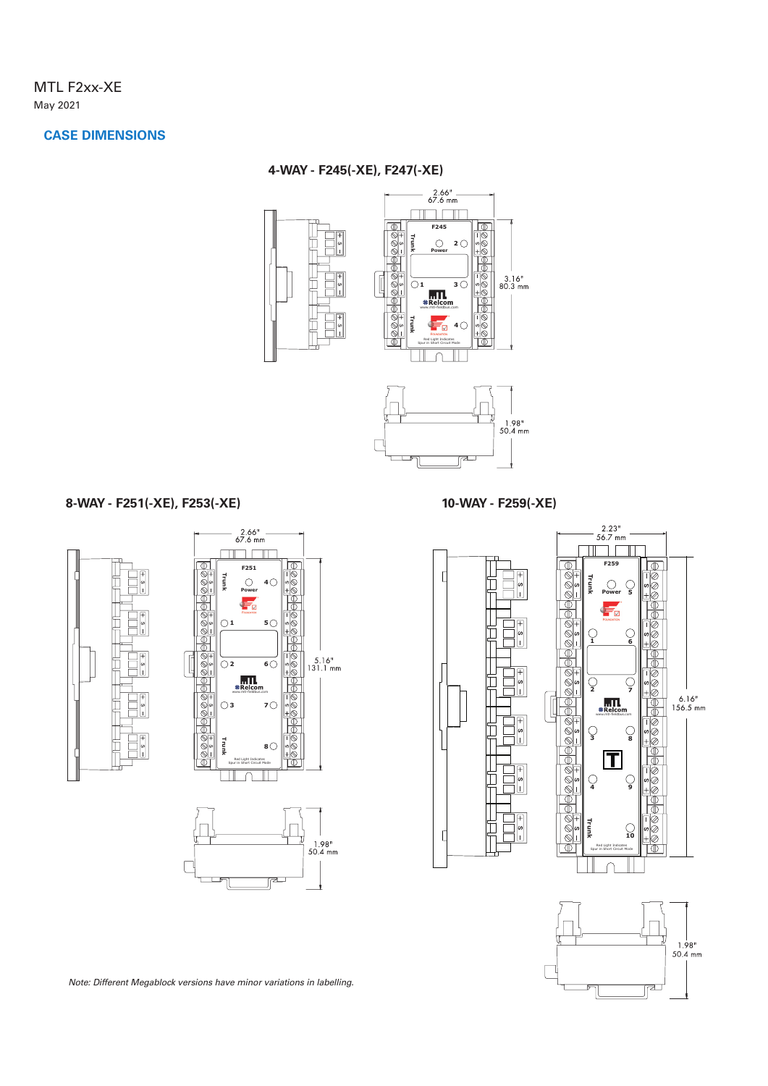#### **CASE DIMENSIONS**

#### **4-WAY - F245(-XE), F247(-XE)**



#### **8-WAY - F251(-XE), F253(-XE)**

 $2.66"$ <br>67.6 mm <u> Timba Timba</u> **F251 Trunk**  $\circ$ **4** ŧ. **5**  $\bigcirc$ **1**  $5.16"$ <br>131.1 mm  $\overline{O2}$ **6** 8Ă  $\frac{m}{4}$ ▔त  $\bigcirc$ <sub>3</sub> 7 $\bigcirc$ **Trunk 8**  Red Light Indicates Spur in Short Circuit Mode  $\Box$  $\frac{1.98}{50.4}$  mm  $\Box$ 







*Note: Different Megablock versions have minor variations in labelling.*

r

**10-WAY - F259(-XE)**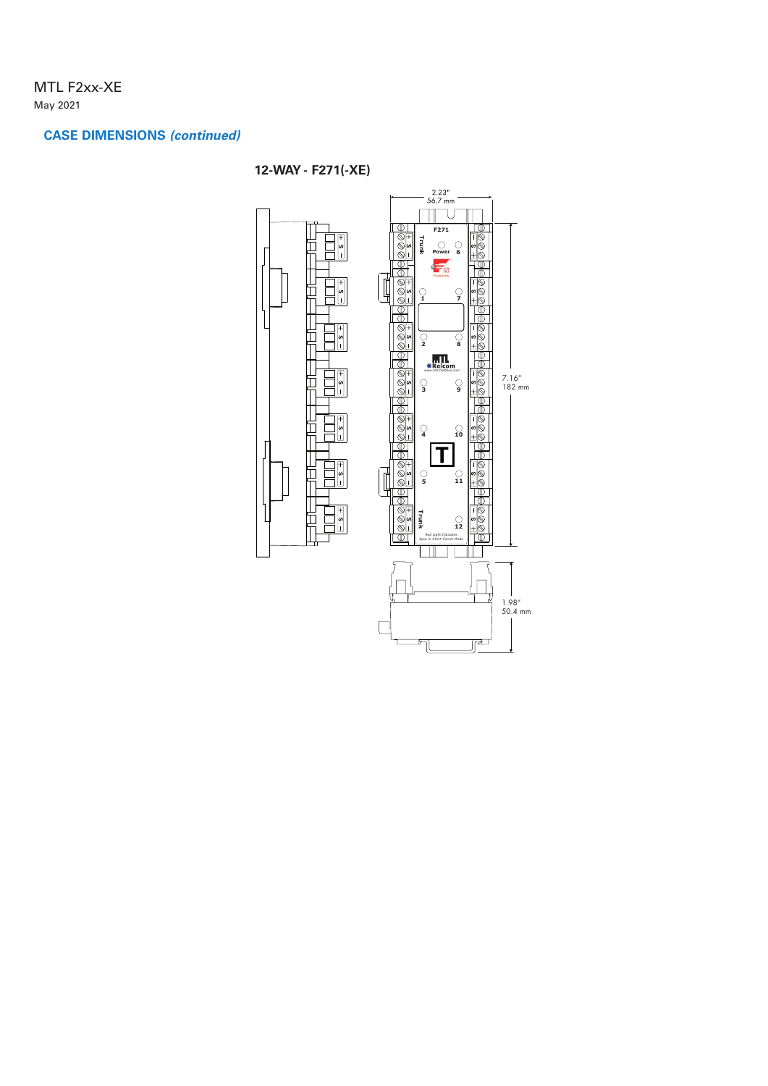## MTL F2xx-XE May 2021

## **CASE DIMENSIONS** *(continued)*

# **12-WAY - F271(-XE)**